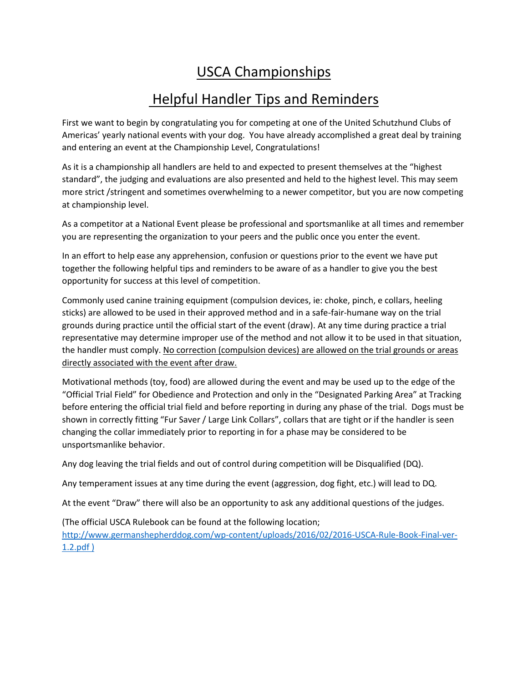## USCA Championships

## Helpful Handler Tips and Reminders

First we want to begin by congratulating you for competing at one of the United Schutzhund Clubs of Americas' yearly national events with your dog. You have already accomplished a great deal by training and entering an event at the Championship Level, Congratulations!

As it is a championship all handlers are held to and expected to present themselves at the "highest standard", the judging and evaluations are also presented and held to the highest level. This may seem more strict /stringent and sometimes overwhelming to a newer competitor, but you are now competing at championship level.

As a competitor at a National Event please be professional and sportsmanlike at all times and remember you are representing the organization to your peers and the public once you enter the event.

In an effort to help ease any apprehension, confusion or questions prior to the event we have put together the following helpful tips and reminders to be aware of as a handler to give you the best opportunity for success at this level of competition.

Commonly used canine training equipment (compulsion devices, ie: choke, pinch, e collars, heeling sticks) are allowed to be used in their approved method and in a safe-fair-humane way on the trial grounds during practice until the official start of the event (draw). At any time during practice a trial representative may determine improper use of the method and not allow it to be used in that situation, the handler must comply. No correction (compulsion devices) are allowed on the trial grounds or areas directly associated with the event after draw.

Motivational methods (toy, food) are allowed during the event and may be used up to the edge of the "Official Trial Field" for Obedience and Protection and only in the "Designated Parking Area" at Tracking before entering the official trial field and before reporting in during any phase of the trial. Dogs must be shown in correctly fitting "Fur Saver / Large Link Collars", collars that are tight or if the handler is seen changing the collar immediately prior to reporting in for a phase may be considered to be unsportsmanlike behavior.

Any dog leaving the trial fields and out of control during competition will be Disqualified (DQ).

Any temperament issues at any time during the event (aggression, dog fight, etc.) will lead to DQ.

At the event "Draw" there will also be an opportunity to ask any additional questions of the judges.

(The official USCA Rulebook can be found at the following location;

[http://www.germanshepherddog.com/wp-content/uploads/2016/02/2016-USCA-Rule-Book-Final-ver-](http://www.germanshepherddog.com/wp-content/uploads/2016/02/2016-USCA-Rule-Book-Final-ver-1.2.pdf)[1.2.pdf](http://www.germanshepherddog.com/wp-content/uploads/2016/02/2016-USCA-Rule-Book-Final-ver-1.2.pdf) )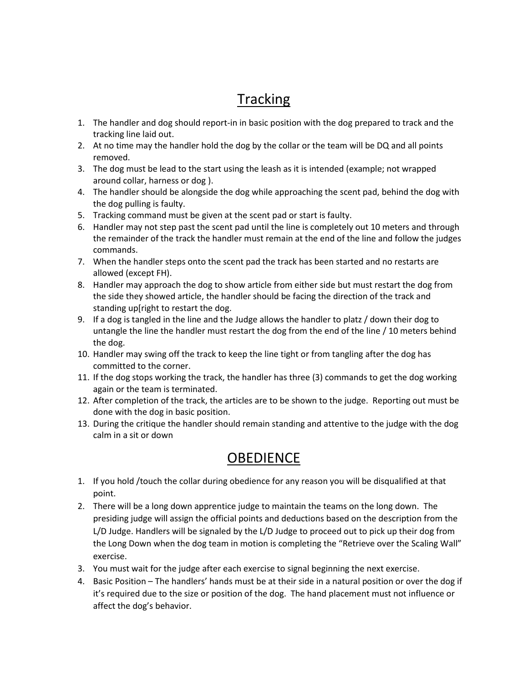# **Tracking**

- 1. The handler and dog should report-in in basic position with the dog prepared to track and the tracking line laid out.
- 2. At no time may the handler hold the dog by the collar or the team will be DQ and all points removed.
- 3. The dog must be lead to the start using the leash as it is intended (example; not wrapped around collar, harness or dog ).
- 4. The handler should be alongside the dog while approaching the scent pad, behind the dog with the dog pulling is faulty.
- 5. Tracking command must be given at the scent pad or start is faulty.
- 6. Handler may not step past the scent pad until the line is completely out 10 meters and through the remainder of the track the handler must remain at the end of the line and follow the judges commands.
- 7. When the handler steps onto the scent pad the track has been started and no restarts are allowed (except FH).
- 8. Handler may approach the dog to show article from either side but must restart the dog from the side they showed article, the handler should be facing the direction of the track and standing up[right to restart the dog.
- 9. If a dog is tangled in the line and the Judge allows the handler to platz / down their dog to untangle the line the handler must restart the dog from the end of the line / 10 meters behind the dog.
- 10. Handler may swing off the track to keep the line tight or from tangling after the dog has committed to the corner.
- 11. If the dog stops working the track, the handler has three (3) commands to get the dog working again or the team is terminated.
- 12. After completion of the track, the articles are to be shown to the judge. Reporting out must be done with the dog in basic position.
- 13. During the critique the handler should remain standing and attentive to the judge with the dog calm in a sit or down

### **OBEDIENCE**

- 1. If you hold /touch the collar during obedience for any reason you will be disqualified at that point.
- 2. There will be a long down apprentice judge to maintain the teams on the long down. The presiding judge will assign the official points and deductions based on the description from the L/D Judge. Handlers will be signaled by the L/D Judge to proceed out to pick up their dog from the Long Down when the dog team in motion is completing the "Retrieve over the Scaling Wall" exercise.
- 3. You must wait for the judge after each exercise to signal beginning the next exercise.
- 4. Basic Position The handlers' hands must be at their side in a natural position or over the dog if it's required due to the size or position of the dog. The hand placement must not influence or affect the dog's behavior.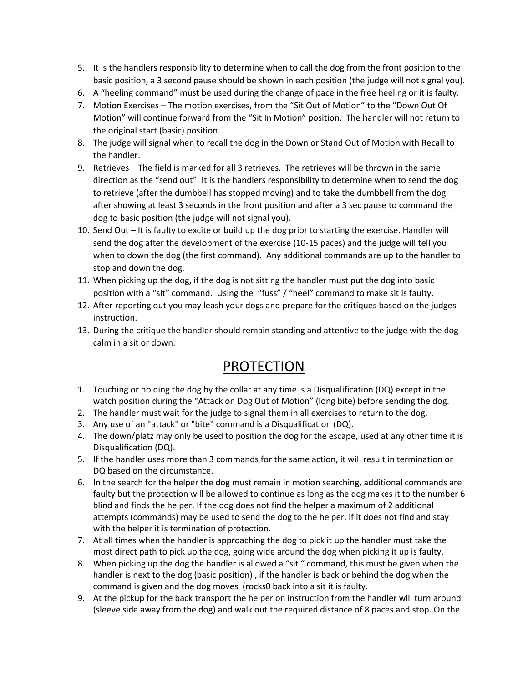- 5. It is the handlers responsibility to determine when to call the dog from the front position to the basic position, a 3 second pause should be shown in each position (the judge will not signal you).
- 6. A "heeling command" must be used during the change of pace in the free heeling or it is faulty.
- 7. Motion Exercises The motion exercises, from the "Sit Out of Motion" to the "Down Out Of Motion" will continue forward from the "Sit In Motion" position. The handler will not return to the original start (basic) position.
- 8. The judge will signal when to recall the dog in the Down or Stand Out of Motion with Recall to the handler.
- 9. Retrieves The field is marked for all 3 retrieves. The retrieves will be thrown in the same direction as the "send out". It is the handlers responsibility to determine when to send the dog to retrieve (after the dumbbell has stopped moving) and to take the dumbbell from the dog after showing at least 3 seconds in the front position and after a 3 sec pause to command the dog to basic position (the judge will not signal you).
- 10. Send Out It is faulty to excite or build up the dog prior to starting the exercise. Handler will send the dog after the development of the exercise (10-15 paces) and the judge will tell you when to down the dog (the first command). Any additional commands are up to the handler to stop and down the dog.
- 11. When picking up the dog, if the dog is not sitting the handler must put the dog into basic position with a "sit" command. Using the "fuss" / "heel" command to make sit is faulty.
- 12. After reporting out you may leash your dogs and prepare for the critiques based on the judges instruction.
- 13. During the critique the handler should remain standing and attentive to the judge with the dog calm in a sit or down.

### PROTECTION

- 1. Touching or holding the dog by the collar at any time is a Disqualification (DQ) except in the watch position during the "Attack on Dog Out of Motion" (long bite) before sending the dog.
- 2. The handler must wait for the judge to signal them in all exercises to return to the dog.
- 3. Any use of an "attack" or "bite" command is a Disqualification (DQ).
- 4. The down/platz may only be used to position the dog for the escape, used at any other time it is Disqualification (DQ).
- 5. If the handler uses more than 3 commands for the same action, it will result in termination or DQ based on the circumstance.
- 6. In the search for the helper the dog must remain in motion searching, additional commands are faulty but the protection will be allowed to continue as long as the dog makes it to the number 6 blind and finds the helper. If the dog does not find the helper a maximum of 2 additional attempts (commands) may be used to send the dog to the helper, if it does not find and stay with the helper it is termination of protection.
- 7. At all times when the handler is approaching the dog to pick it up the handler must take the most direct path to pick up the dog, going wide around the dog when picking it up is faulty.
- 8. When picking up the dog the handler is allowed a "sit " command, this must be given when the handler is next to the dog (basic position) , if the handler is back or behind the dog when the command is given and the dog moves (rocks0 back into a sit it is faulty.
- 9. At the pickup for the back transport the helper on instruction from the handler will turn around (sleeve side away from the dog) and walk out the required distance of 8 paces and stop. On the